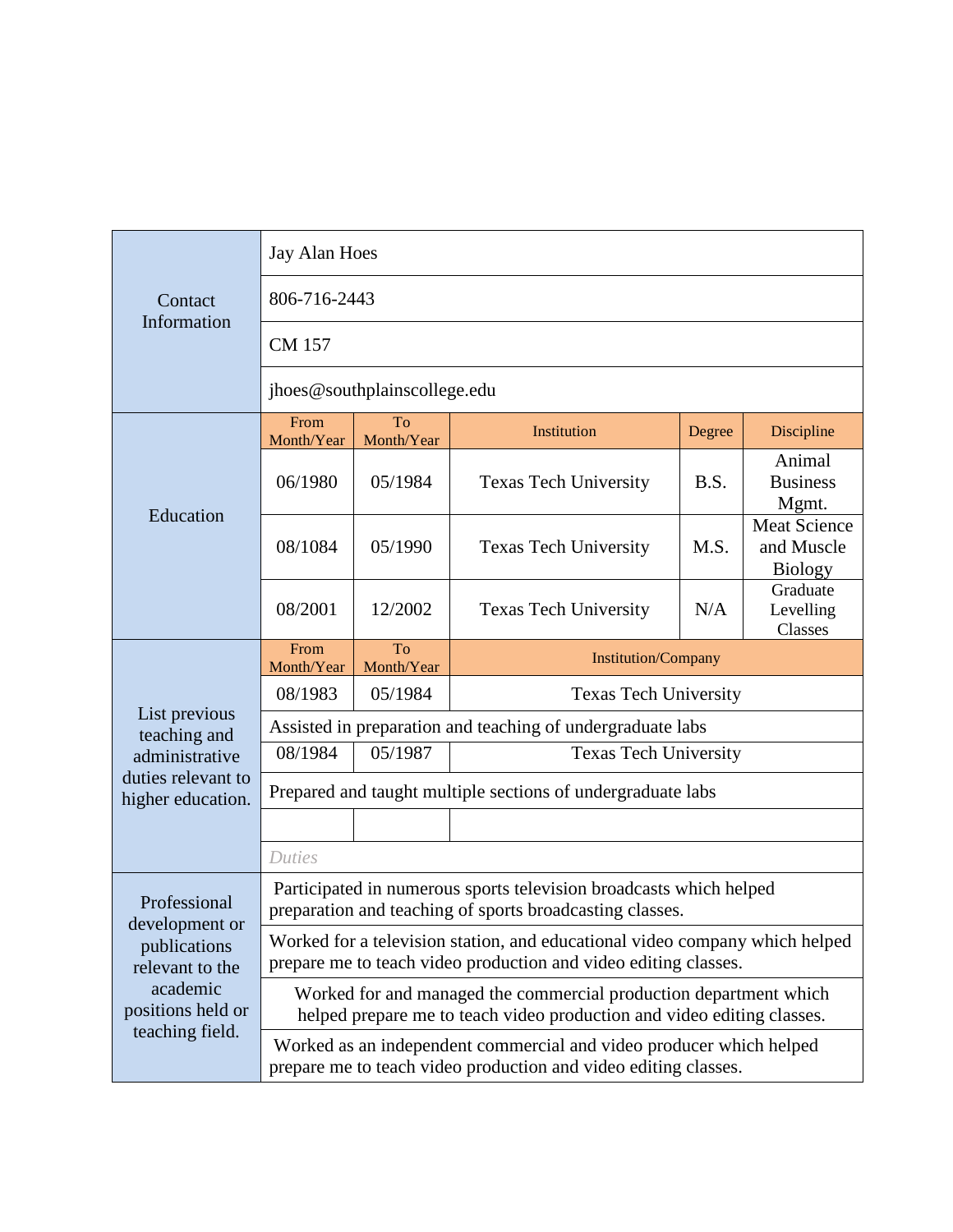| Contact<br>Information                                                                                                | Jay Alan Hoes                                                                                                                                  |                                                       |                              |        |                                                     |  |
|-----------------------------------------------------------------------------------------------------------------------|------------------------------------------------------------------------------------------------------------------------------------------------|-------------------------------------------------------|------------------------------|--------|-----------------------------------------------------|--|
|                                                                                                                       | 806-716-2443                                                                                                                                   |                                                       |                              |        |                                                     |  |
|                                                                                                                       | <b>CM 157</b>                                                                                                                                  |                                                       |                              |        |                                                     |  |
|                                                                                                                       | jhoes@southplainscollege.edu                                                                                                                   |                                                       |                              |        |                                                     |  |
| Education                                                                                                             | From<br>Month/Year                                                                                                                             | To<br>Month/Year                                      | Institution                  | Degree | Discipline                                          |  |
|                                                                                                                       | 06/1980                                                                                                                                        | 05/1984                                               | <b>Texas Tech University</b> | B.S.   | Animal<br><b>Business</b><br>Mgmt.                  |  |
|                                                                                                                       | 08/1084                                                                                                                                        | 05/1990                                               | <b>Texas Tech University</b> | M.S.   | <b>Meat Science</b><br>and Muscle<br><b>Biology</b> |  |
|                                                                                                                       | 08/2001                                                                                                                                        | 12/2002                                               | <b>Texas Tech University</b> | N/A    | Graduate<br>Levelling<br>Classes                    |  |
|                                                                                                                       | From<br>Month/Year                                                                                                                             | <b>To</b><br><b>Institution/Company</b><br>Month/Year |                              |        |                                                     |  |
|                                                                                                                       | 08/1983                                                                                                                                        | 05/1984                                               | <b>Texas Tech University</b> |        |                                                     |  |
| List previous<br>teaching and<br>administrative<br>duties relevant to<br>higher education.                            | Assisted in preparation and teaching of undergraduate labs                                                                                     |                                                       |                              |        |                                                     |  |
|                                                                                                                       | 08/1984                                                                                                                                        | 05/1987                                               | <b>Texas Tech University</b> |        |                                                     |  |
|                                                                                                                       | Prepared and taught multiple sections of undergraduate labs                                                                                    |                                                       |                              |        |                                                     |  |
|                                                                                                                       |                                                                                                                                                |                                                       |                              |        |                                                     |  |
|                                                                                                                       | <b>Duties</b>                                                                                                                                  |                                                       |                              |        |                                                     |  |
| Professional<br>development or<br>publications<br>relevant to the<br>academic<br>positions held or<br>teaching field. | Participated in numerous sports television broadcasts which helped<br>preparation and teaching of sports broadcasting classes.                 |                                                       |                              |        |                                                     |  |
|                                                                                                                       | Worked for a television station, and educational video company which helped<br>prepare me to teach video production and video editing classes. |                                                       |                              |        |                                                     |  |
|                                                                                                                       | Worked for and managed the commercial production department which<br>helped prepare me to teach video production and video editing classes.    |                                                       |                              |        |                                                     |  |
|                                                                                                                       | Worked as an independent commercial and video producer which helped<br>prepare me to teach video production and video editing classes.         |                                                       |                              |        |                                                     |  |